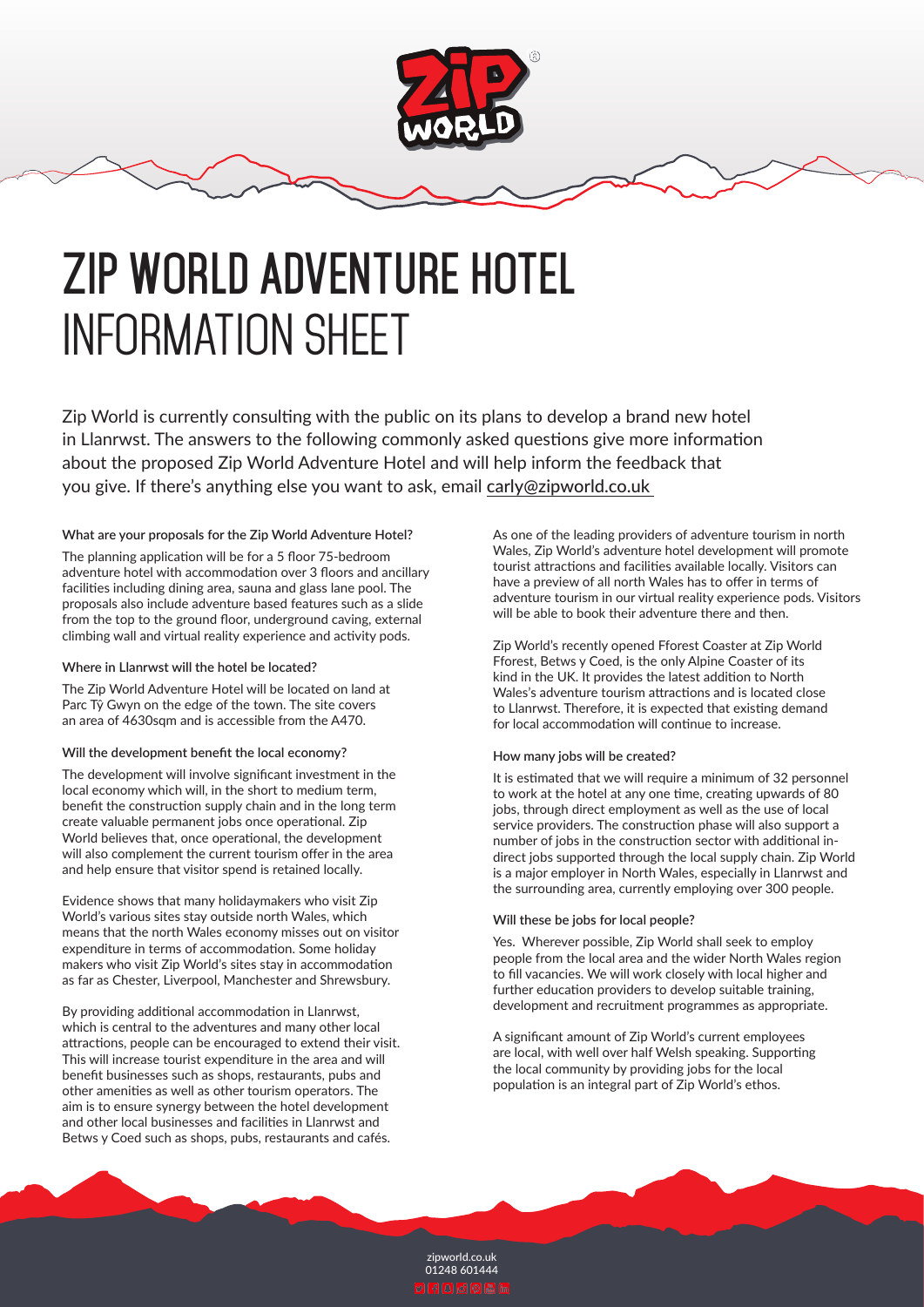



# **ZIP WORLD ADVENTURE HOTEL** INFORMATION SHEET

Zip World is currently consulting with the public on its plans to develop a brand new hotel in Llanrwst. The answers to the following commonly asked questions give more information about the proposed Zip World Adventure Hotel and will help inform the feedback that you give. If there's anything else you want to ask, email carly@zipworld.co.uk

## **What are your proposals for the Zip World Adventure Hotel?**

The planning application will be for a 5 floor 75-bedroom adventure hotel with accommodation over 3 floors and ancillary facilities including dining area, sauna and glass lane pool. The proposals also include adventure based features such as a slide from the top to the ground floor, underground caving, external climbing wall and virtual reality experience and activity pods.

## **Where in Llanrwst will the hotel be located?**

The Zip World Adventure Hotel will be located on land at Parc Tŷ Gwyn on the edge of the town. The site covers an area of 4630sqm and is accessible from the A470.

## **Will the development benefit the local economy?**

The development will involve significant investment in the local economy which will, in the short to medium term, benefit the construction supply chain and in the long term create valuable permanent jobs once operational. Zip World believes that, once operational, the development will also complement the current tourism offer in the area and help ensure that visitor spend is retained locally.

Evidence shows that many holidaymakers who visit Zip World's various sites stay outside north Wales, which means that the north Wales economy misses out on visitor expenditure in terms of accommodation. Some holiday makers who visit Zip World's sites stay in accommodation as far as Chester, Liverpool, Manchester and Shrewsbury.

By providing additional accommodation in Llanrwst, which is central to the adventures and many other local attractions, people can be encouraged to extend their visit. This will increase tourist expenditure in the area and will benefit businesses such as shops, restaurants, pubs and other amenities as well as other tourism operators. The aim is to ensure synergy between the hotel development and other local businesses and facilities in Llanrwst and Betws y Coed such as shops, pubs, restaurants and cafés.

As one of the leading providers of adventure tourism in north Wales, Zip World's adventure hotel development will promote tourist attractions and facilities available locally. Visitors can have a preview of all north Wales has to offer in terms of adventure tourism in our virtual reality experience pods. Visitors will be able to book their adventure there and then.

Zip World's recently opened Fforest Coaster at Zip World Fforest, Betws y Coed, is the only Alpine Coaster of its kind in the UK. It provides the latest addition to North Wales's adventure tourism attractions and is located close to Llanrwst. Therefore, it is expected that existing demand for local accommodation will continue to increase.

## **How many jobs will be created?**

It is estimated that we will require a minimum of 32 personnel to work at the hotel at any one time, creating upwards of 80 jobs, through direct employment as well as the use of local service providers. The construction phase will also support a number of jobs in the construction sector with additional indirect jobs supported through the local supply chain. Zip World is a major employer in North Wales, especially in Llanrwst and the surrounding area, currently employing over 300 people.

## **Will these be jobs for local people?**

Yes. Wherever possible, Zip World shall seek to employ people from the local area and the wider North Wales region to fill vacancies. We will work closely with local higher and further education providers to develop suitable training, development and recruitment programmes as appropriate.

A significant amount of Zip World's current employees are local, with well over half Welsh speaking. Supporting the local community by providing jobs for the local population is an integral part of Zip World's ethos.